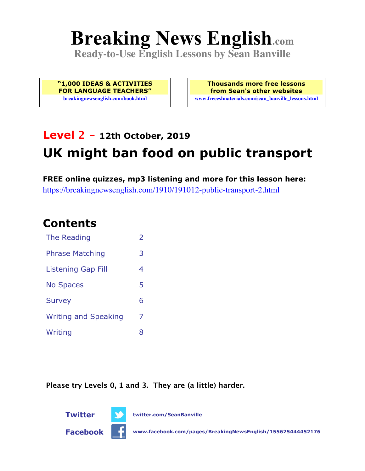# **Breaking News English.com**

**Ready-to-Use English Lessons by Sean Banville**

**"1,000 IDEAS & ACTIVITIES FOR LANGUAGE TEACHERS" breakingnewsenglish.com/book.html**

**Thousands more free lessons from Sean's other websites www.freeeslmaterials.com/sean\_banville\_lessons.html**

# **Level 2 - 12th October, 2019 UK might ban food on public transport**

**FREE online quizzes, mp3 listening and more for this lesson here:** https://breakingnewsenglish.com/1910/191012-public-transport-2.html

## **Contents**

| The Reading                 | $\overline{2}$ |
|-----------------------------|----------------|
| <b>Phrase Matching</b>      | 3              |
| <b>Listening Gap Fill</b>   | 4              |
| <b>No Spaces</b>            | 5              |
| <b>Survey</b>               | 6              |
| <b>Writing and Speaking</b> | 7              |
| Writing                     | 8              |

**Please try Levels 0, 1 and 3. They are (a little) harder.**



**Twitter twitter.com/SeanBanville**

**Facebook www.facebook.com/pages/BreakingNewsEnglish/155625444452176**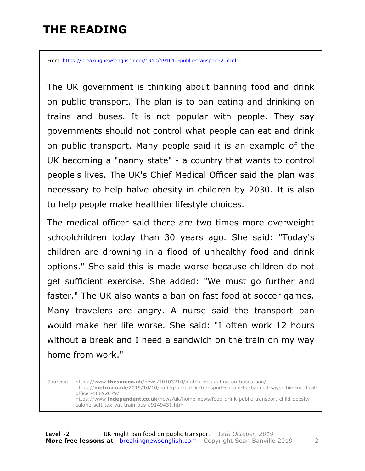#### **THE READING**

From https://breakingnewsenglish.com/1910/191012-public-transport-2.html

The UK government is thinking about banning food and drink on public transport. The plan is to ban eating and drinking on trains and buses. It is not popular with people. They say governments should not control what people can eat and drink on public transport. Many people said it is an example of the UK becoming a "nanny state" - a country that wants to control people's lives. The UK's Chief Medical Officer said the plan was necessary to help halve obesity in children by 2030. It is also to help people make healthier lifestyle choices.

The medical officer said there are two times more overweight schoolchildren today than 30 years ago. She said: "Today's children are drowning in a flood of unhealthy food and drink options." She said this is made worse because children do not get sufficient exercise. She added: "We must go further and faster." The UK also wants a ban on fast food at soccer games. Many travelers are angry. A nurse said the transport ban would make her life worse. She said: "I often work 12 hours without a break and I need a sandwich on the train on my way home from work."

Sources: https://www.**thesun.co.uk**/news/10103210/match-pies-eating-on-buses-ban/ https://**metro.co.uk**/2019/10/10/eating-on-public-transport-should-be-banned-says-chief-medicalofficer-10892079/ https://www.**independent.co.uk**/news/uk/home-news/food-drink-public-transport-child-obesitycalorie-soft-tax-vat-train-bus-a9149431.html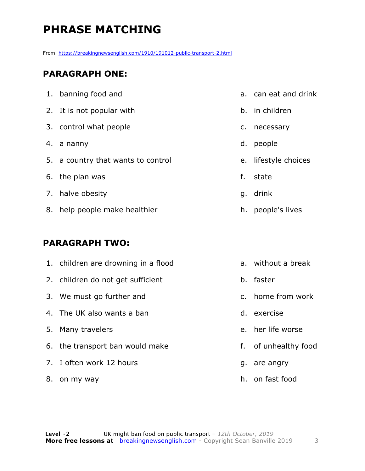## **PHRASE MATCHING**

From https://breakingnewsenglish.com/1910/191012-public-transport-2.html

#### **PARAGRAPH ONE:**

| 1. banning food and                |    | a. can eat and drink |
|------------------------------------|----|----------------------|
| 2. It is not popular with          |    | b. in children       |
| 3. control what people             | c. | necessary            |
| 4. a nanny                         | d. | people               |
| 5. a country that wants to control |    | e. lifestyle choices |
| 6. the plan was                    | f. | state                |
| 7. halve obesity                   | q. | drink                |
| 8. help people make healthier      | h. | people's lives       |

#### **PARAGRAPH TWO:**

| 1. children are drowning in a flood | a. without a break   |
|-------------------------------------|----------------------|
| 2. children do not get sufficient   | b. faster            |
| 3. We must go further and           | c. home from work    |
| 4. The UK also wants a ban          | d. exercise          |
| 5. Many travelers                   | e. her life worse    |
| 6. the transport ban would make     | f. of unhealthy food |
| 7. I often work 12 hours            | g. are angry         |
| 8. on my way                        | h. on fast food      |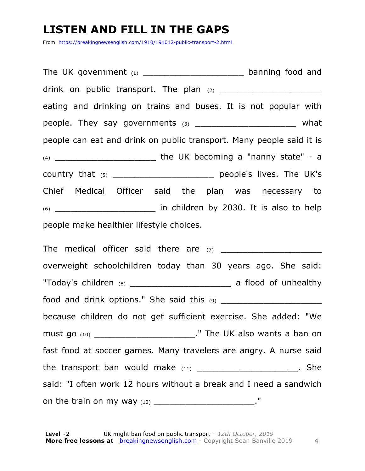#### **LISTEN AND FILL IN THE GAPS**

From https://breakingnewsenglish.com/1910/191012-public-transport-2.html

The UK government  $(1)$  and  $(2)$  banning food and drink on public transport. The plan  $(2)$ eating and drinking on trains and buses. It is not popular with people. They say governments (3) \_\_\_\_\_\_\_\_\_\_\_\_\_\_\_\_\_\_\_\_\_\_\_\_\_ what people can eat and drink on public transport. Many people said it is (4) \_\_\_\_\_\_\_\_\_\_\_\_\_\_\_\_\_\_\_ the UK becoming a "nanny state" - a country that (5) country that (5) Chief Medical Officer said the plan was necessary to (6) \_\_\_\_\_\_\_\_\_\_\_\_\_\_\_\_\_\_\_ in children by 2030. It is also to help people make healthier lifestyle choices.

The medical officer said there are  $(7)$ overweight schoolchildren today than 30 years ago. She said: "Today's children (8) \_\_\_\_\_\_\_\_\_\_\_\_\_\_\_\_\_\_\_ a flood of unhealthy food and drink options." She said this  $(9)$ because children do not get sufficient exercise. She added: "We must go (10) \_\_\_\_\_\_\_\_\_\_\_\_\_\_\_\_\_\_\_." The UK also wants a ban on fast food at soccer games. Many travelers are angry. A nurse said the transport ban would make  $(11)$  \_\_\_\_\_\_\_\_\_\_\_\_\_\_\_\_\_\_\_\_\_\_\_. She said: "I often work 12 hours without a break and I need a sandwich on the train on my way  $(12)$  \_\_\_\_\_\_\_\_\_\_\_\_\_\_\_\_\_\_\_\_\_\_\_\_\_."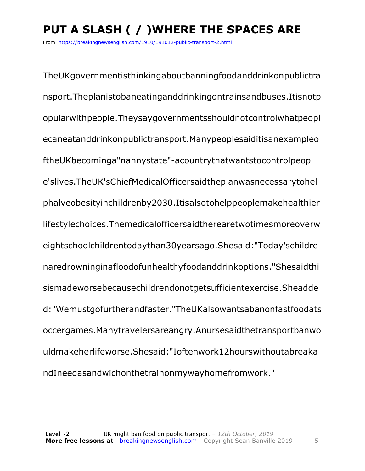# **PUT A SLASH ( / )WHERE THE SPACES ARE**

From https://breakingnewsenglish.com/1910/191012-public-transport-2.html

TheUKgovernmentisthinkingaboutbanningfoodanddrinkonpublictra nsport.Theplanistobaneatinganddrinkingontrainsandbuses.Itisnotp opularwithpeople.Theysaygovernmentsshouldnotcontrolwhatpeopl ecaneatanddrinkonpublictransport.Manypeoplesaiditisanexampleo ftheUKbecominga"nannystate"-acountrythatwantstocontrolpeopl e'slives.TheUK'sChiefMedicalOfficersaidtheplanwasnecessarytohel phalveobesityinchildrenby2030.Itisalsotohelppeoplemakehealthier lifestylechoices.Themedicalofficersaidtherearetwotimesmoreoverw eightschoolchildrentodaythan30yearsago.Shesaid:"Today'schildre naredrowninginafloodofunhealthyfoodanddrinkoptions."Shesaidthi sismadeworsebecausechildrendonotgetsufficientexercise.Sheadde d:"Wemustgofurtherandfaster."TheUKalsowantsabanonfastfoodats occergames.Manytravelersareangry.Anursesaidthetransportbanwo uldmakeherlifeworse.Shesaid:"Ioftenwork12hourswithoutabreaka ndIneedasandwichonthetrainonmywayhomefromwork."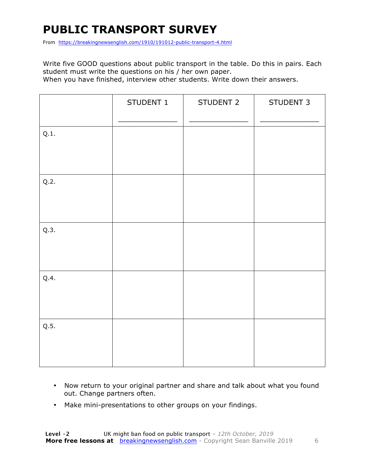## **PUBLIC TRANSPORT SURVEY**

From https://breakingnewsenglish.com/1910/191012-public-transport-4.html

Write five GOOD questions about public transport in the table. Do this in pairs. Each student must write the questions on his / her own paper.

When you have finished, interview other students. Write down their answers.

|      | STUDENT 1 | STUDENT 2 | STUDENT 3 |
|------|-----------|-----------|-----------|
| Q.1. |           |           |           |
| Q.2. |           |           |           |
| Q.3. |           |           |           |
| Q.4. |           |           |           |
| Q.5. |           |           |           |

- Now return to your original partner and share and talk about what you found out. Change partners often.
- Make mini-presentations to other groups on your findings.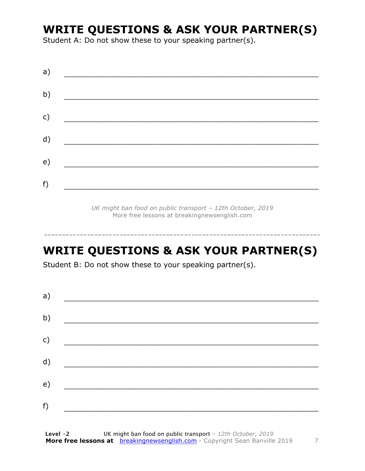#### **WRITE QUESTIONS & ASK YOUR PARTNER(S)**

Student A: Do not show these to your speaking partner(s).

| a) |  |  |
|----|--|--|
| b) |  |  |
| c) |  |  |
| d) |  |  |
| e) |  |  |
| f) |  |  |

*UK might ban food on public transport – 12th October, 2019* More free lessons at breakingnewsenglish.com

#### **WRITE QUESTIONS & ASK YOUR PARTNER(S)**

-----------------------------------------------------------------------------

Student B: Do not show these to your speaking partner(s).

| a) |  |  |
|----|--|--|
| b) |  |  |
| c) |  |  |
| d) |  |  |
| e) |  |  |
| f) |  |  |
|    |  |  |